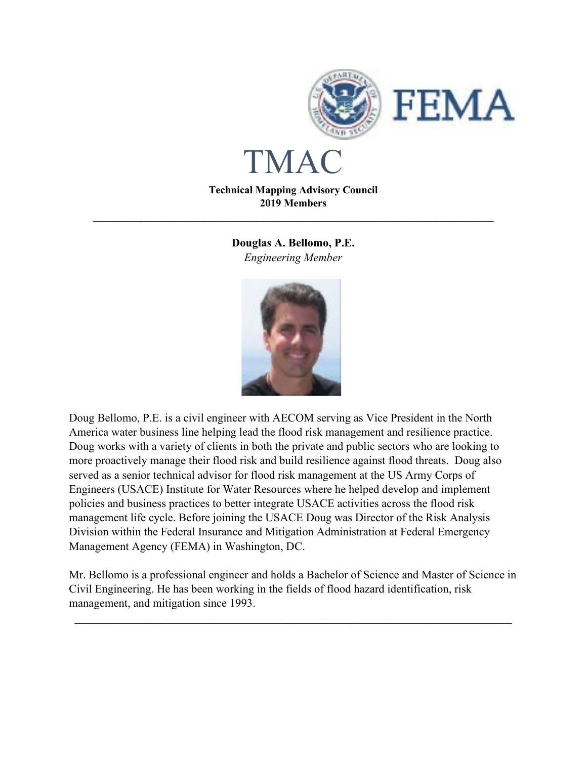

# TMAC

**Technical Mapping Advisory Council 2019 Members**

**\_\_\_\_\_\_\_\_\_\_\_\_\_\_\_\_\_\_\_\_\_\_\_\_\_\_\_\_\_\_\_\_\_\_\_\_\_\_\_\_\_\_\_\_\_\_\_\_\_\_\_\_\_\_\_\_\_\_\_\_\_\_\_\_\_\_\_\_\_\_\_\_\_\_\_\_**

**Douglas A. Bellomo, P.E.** *Engineering Member*



Doug Bellomo, P.E. is a civil engineer with AECOM serving as Vice President in the North America water business line helping lead the flood risk management and resilience practice. Doug works with a variety of clients in both the private and public sectors who are looking to more proactively manage their flood risk and build resilience against flood threats. Doug also served as a senior technical advisor for flood risk management at the US Army Corps of Engineers (USACE) Institute for Water Resources where he helped develop and implement policies and business practices to better integrate USACE activities across the flood risk management life cycle. Before joining the USACE Doug was Director of the Risk Analysis Division within the Federal Insurance and Mitigation Administration at Federal Emergency Management Agency (FEMA) in Washington, DC.

Mr. Bellomo is a professional engineer and holds a Bachelor of Science and Master of Science in Civil Engineering. He has been working in the fields of flood hazard identification, risk management, and mitigation since 1993.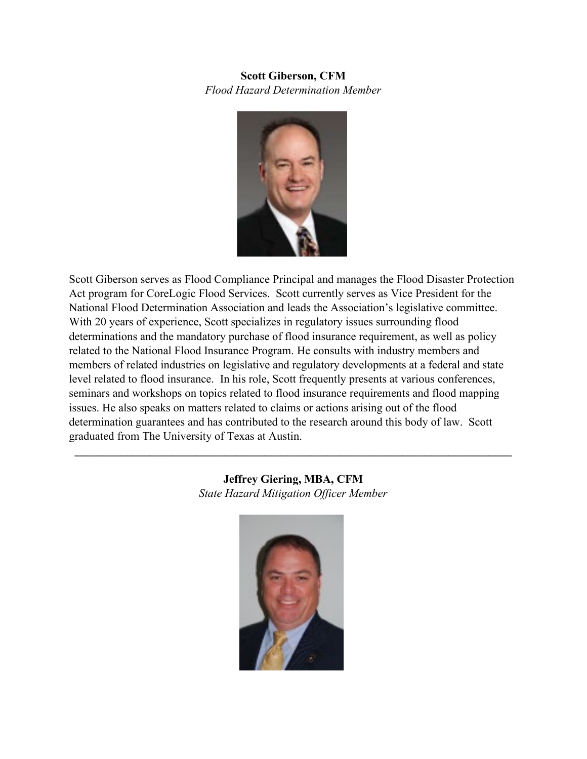#### **Scott Giberson, CFM** *Flood Hazard Determination Member*



Scott Giberson serves as Flood Compliance Principal and manages the Flood Disaster Protection Act program for CoreLogic Flood Services. Scott currently serves as Vice President for the National Flood Determination Association and leads the Association's legislative committee. With 20 years of experience, Scott specializes in regulatory issues surrounding flood determinations and the mandatory purchase of flood insurance requirement, as well as policy related to the National Flood Insurance Program. He consults with industry members and members of related industries on legislative and regulatory developments at a federal and state level related to flood insurance. In his role, Scott frequently presents at various conferences, seminars and workshops on topics related to flood insurance requirements and flood mapping issues. He also speaks on matters related to claims or actions arising out of the flood determination guarantees and has contributed to the research around this body of law. Scott graduated from The University of Texas at Austin.

> **Jeffrey Giering, MBA, CFM** *State Hazard Mitigation Officer Member*

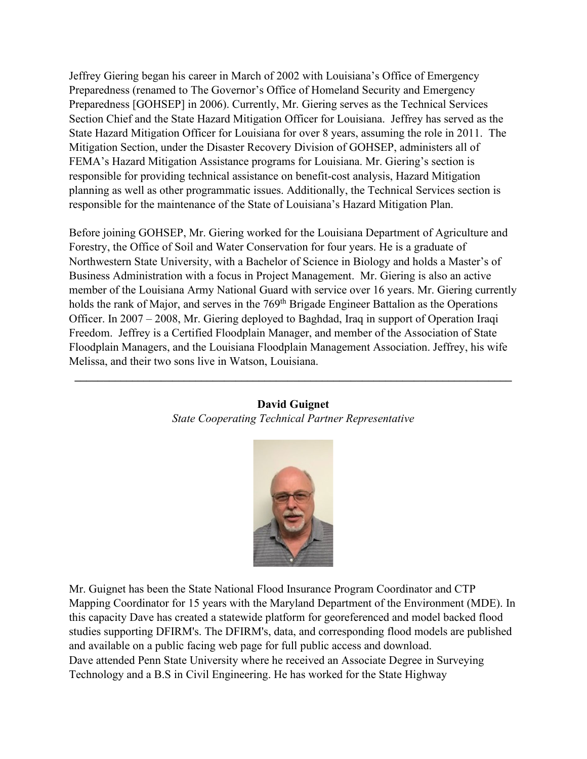Jeffrey Giering began his career in March of 2002 with Louisiana's Office of Emergency Preparedness (renamed to The Governor's Office of Homeland Security and Emergency Preparedness [GOHSEP] in 2006). Currently, Mr. Giering serves as the Technical Services Section Chief and the State Hazard Mitigation Officer for Louisiana. Jeffrey has served as the State Hazard Mitigation Officer for Louisiana for over 8 years, assuming the role in 2011. The Mitigation Section, under the Disaster Recovery Division of GOHSEP, administers all of FEMA's Hazard Mitigation Assistance programs for Louisiana. Mr. Giering's section is responsible for providing technical assistance on benefit-cost analysis, Hazard Mitigation planning as well as other programmatic issues. Additionally, the Technical Services section is responsible for the maintenance of the State of Louisiana's Hazard Mitigation Plan.

Before joining GOHSEP, Mr. Giering worked for the Louisiana Department of Agriculture and Forestry, the Office of Soil and Water Conservation for four years. He is a graduate of Northwestern State University, with a Bachelor of Science in Biology and holds a Master's of Business Administration with a focus in Project Management. Mr. Giering is also an active member of the Louisiana Army National Guard with service over 16 years. Mr. Giering currently holds the rank of Major, and serves in the 769<sup>th</sup> Brigade Engineer Battalion as the Operations Officer. In 2007 – 2008, Mr. Giering deployed to Baghdad, Iraq in support of Operation Iraqi Freedom. Jeffrey is a Certified Floodplain Manager, and member of the Association of State Floodplain Managers, and the Louisiana Floodplain Management Association. Jeffrey, his wife Melissa, and their two sons live in Watson, Louisiana.

#### **David Guignet** *State Cooperating Technical Partner Representative*

**\_\_\_\_\_\_\_\_\_\_\_\_\_\_\_\_\_\_\_\_\_\_\_\_\_\_\_\_\_\_\_\_\_\_\_\_\_\_\_\_\_\_\_\_\_\_\_\_\_\_\_\_\_\_\_\_\_\_\_\_\_\_\_\_\_\_\_\_\_\_\_\_\_\_\_\_**



Mr. Guignet has been the State National Flood Insurance Program Coordinator and CTP Mapping Coordinator for 15 years with the Maryland Department of the Environment (MDE). In this capacity Dave has created a statewide platform for georeferenced and model backed flood studies supporting DFIRM's. The DFIRM's, data, and corresponding flood models are published and available on a public facing web page for full public access and download. Dave attended Penn State University where he received an Associate Degree in Surveying Technology and a B.S in Civil Engineering. He has worked for the State Highway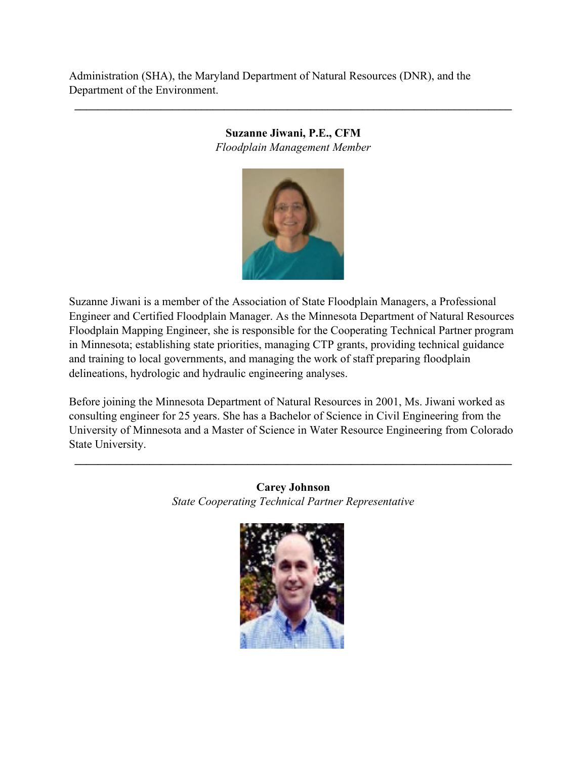Administration (SHA), the Maryland Department of Natural Resources (DNR), and the Department of the Environment.

### **Suzanne Jiwani, P.E., CFM** *Floodplain Management Member*

**\_\_\_\_\_\_\_\_\_\_\_\_\_\_\_\_\_\_\_\_\_\_\_\_\_\_\_\_\_\_\_\_\_\_\_\_\_\_\_\_\_\_\_\_\_\_\_\_\_\_\_\_\_\_\_\_\_\_\_\_\_\_\_\_\_\_\_\_\_\_\_\_\_\_\_\_**



Suzanne Jiwani is a member of the Association of State Floodplain Managers, a Professional Engineer and Certified Floodplain Manager. As the Minnesota Department of Natural Resources Floodplain Mapping Engineer, she is responsible for the Cooperating Technical Partner program in Minnesota; establishing state priorities, managing CTP grants, providing technical guidance and training to local governments, and managing the work of staff preparing floodplain delineations, hydrologic and hydraulic engineering analyses.

Before joining the Minnesota Department of Natural Resources in 2001, Ms. Jiwani worked as consulting engineer for 25 years. She has a Bachelor of Science in Civil Engineering from the University of Minnesota and a Master of Science in Water Resource Engineering from Colorado State University.

> **Carey Johnson** *State Cooperating Technical Partner Representative*

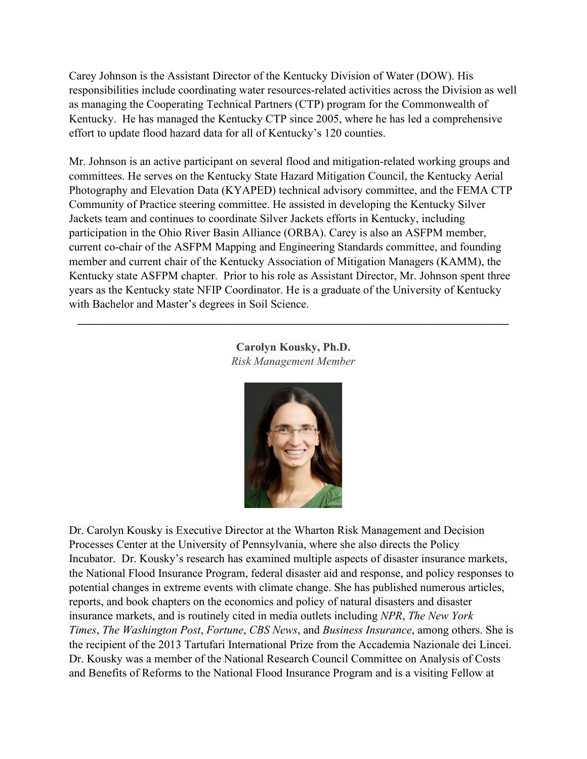Carey Johnson is the Assistant Director of the Kentucky Division of Water (DOW). His responsibilities include coordinating water resources-related activities across the Division as well as managing the Cooperating Technical Partners (CTP) program for the Commonwealth of Kentucky. He has managed the Kentucky CTP since 2005, where he has led a comprehensive effort to update flood hazard data for all of Kentucky's 120 counties.

Mr. Johnson is an active participant on several flood and mitigation-related working groups and committees. He serves on the Kentucky State Hazard Mitigation Council, the Kentucky Aerial Photography and Elevation Data (KYAPED) technical advisory committee, and the FEMA CTP Community of Practice steering committee. He assisted in developing the Kentucky Silver Jackets team and continues to coordinate Silver Jackets efforts in Kentucky, including participation in the Ohio River Basin Alliance (ORBA). Carey is also an ASFPM member, current co-chair of the ASFPM Mapping and Engineering Standards committee, and founding member and current chair of the Kentucky Association of Mitigation Managers (KAMM), the Kentucky state ASFPM chapter. Prior to his role as Assistant Director, Mr. Johnson spent three years as the Kentucky state NFIP Coordinator. He is a graduate of the University of Kentucky with Bachelor and Master's degrees in Soil Science.

> **Carolyn Kousky, Ph.D.** *Risk Management Member*

**\_\_\_\_\_\_\_\_\_\_\_\_\_\_\_\_\_\_\_\_\_\_\_\_\_\_\_\_\_\_\_\_\_\_\_\_\_\_\_\_\_\_\_\_\_\_\_\_\_\_\_\_\_\_\_\_\_\_\_\_\_\_\_\_\_\_\_\_\_\_\_\_\_\_\_**



Dr. Carolyn Kousky is Executive Director at the Wharton Risk Management and Decision Processes Center at the University of Pennsylvania, where she also directs the Policy Incubator. Dr. Kousky's research has examined multiple aspects of disaster insurance markets, the National Flood Insurance Program, federal disaster aid and response, and policy responses to potential changes in extreme events with climate change. She has published numerous articles, reports, and book chapters on the economics and policy of natural disasters and disaster insurance markets, and is routinely cited in media outlets including *NPR*, *The New York Times*, *The Washington Post*, *Fortune*, *CBS News*, and *Business Insurance*, among others. She is the recipient of the 2013 Tartufari International Prize from the Accademia Nazionale dei Lincei. Dr. Kousky was a member of the National Research Council Committee on Analysis of Costs and Benefits of Reforms to the National Flood Insurance Program and is a visiting Fellow at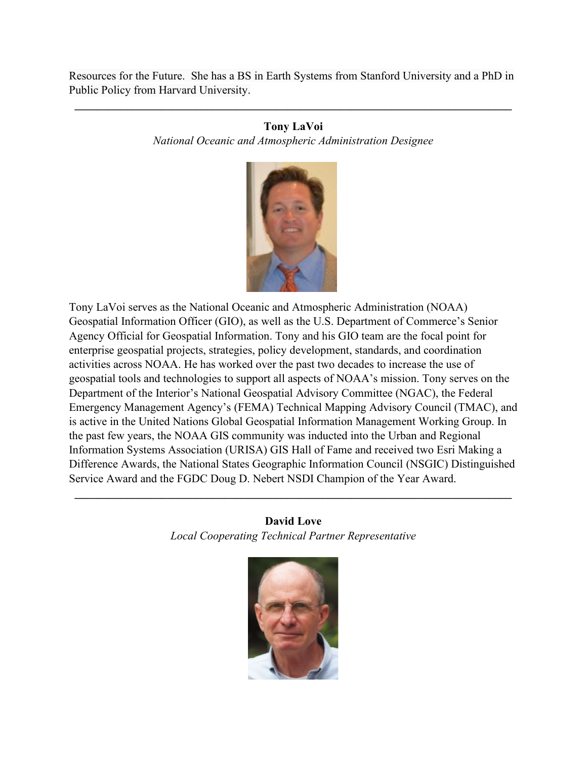Resources for the Future. She has a BS in Earth Systems from Stanford University and a PhD in Public Policy from Harvard University.

#### **Tony LaVoi**

**\_\_\_\_\_\_\_\_\_\_\_\_\_\_\_\_\_\_\_\_\_\_\_\_\_\_\_\_\_\_\_\_\_\_\_\_\_\_\_\_\_\_\_\_\_\_\_\_\_\_\_\_\_\_\_\_\_\_\_\_\_\_\_\_\_\_\_\_\_\_\_\_\_\_\_\_**

*National Oceanic and Atmospheric Administration Designee*



Tony LaVoi serves as the National Oceanic and Atmospheric Administration (NOAA) Geospatial Information Officer (GIO), as well as the U.S. Department of Commerce's Senior Agency Official for Geospatial Information. Tony and his GIO team are the focal point for enterprise geospatial projects, strategies, policy development, standards, and coordination activities across NOAA. He has worked over the past two decades to increase the use of geospatial tools and technologies to support all aspects of NOAA's mission. Tony serves on the Department of the Interior's National Geospatial Advisory Committee (NGAC), the Federal Emergency Management Agency's (FEMA) Technical Mapping Advisory Council (TMAC), and is active in the United Nations Global Geospatial Information Management Working Group. In the past few years, the NOAA GIS community was inducted into the Urban and Regional Information Systems Association (URISA) GIS Hall of Fame and received two Esri Making a Difference Awards, the National States Geographic Information Council (NSGIC) Distinguished Service Award and the FGDC Doug D. Nebert NSDI Champion of the Year Award.

## **David Love** *Local Cooperating Technical Partner Representative*

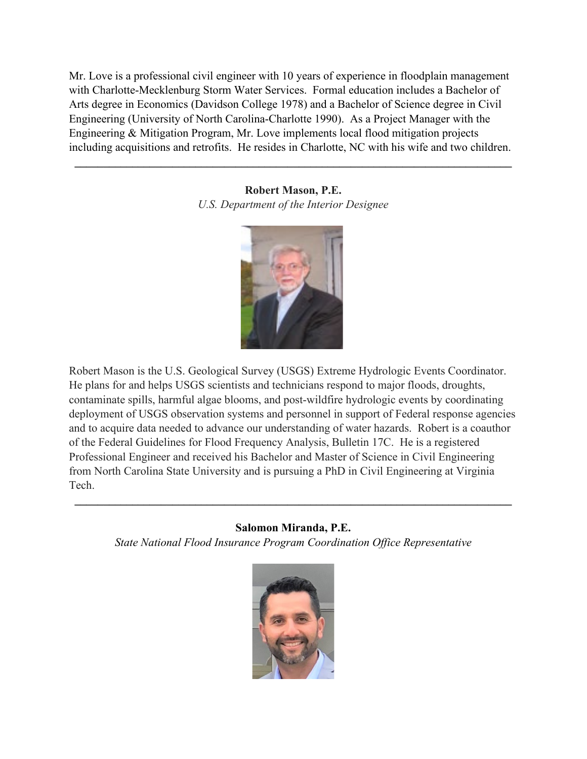Mr. Love is a professional civil engineer with 10 years of experience in floodplain management with Charlotte-Mecklenburg Storm Water Services. Formal education includes a Bachelor of Arts degree in Economics (Davidson College 1978) and a Bachelor of Science degree in Civil Engineering (University of North Carolina-Charlotte 1990). As a Project Manager with the Engineering & Mitigation Program, Mr. Love implements local flood mitigation projects including acquisitions and retrofits. He resides in Charlotte, NC with his wife and two children.

> **Robert Mason, P.E.** *U.S. Department of the Interior Designee*

**\_\_\_\_\_\_\_\_\_\_\_\_\_\_\_\_\_\_\_\_\_\_\_\_\_\_\_\_\_\_\_\_\_\_\_\_\_\_\_\_\_\_\_\_\_\_\_\_\_\_\_\_\_\_\_\_\_\_\_\_\_\_\_\_\_\_\_\_\_\_\_\_\_\_\_\_**



Robert Mason is the U.S. Geological Survey (USGS) Extreme Hydrologic Events Coordinator. He plans for and helps USGS scientists and technicians respond to major floods, droughts, contaminate spills, harmful algae blooms, and post-wildfire hydrologic events by coordinating deployment of USGS observation systems and personnel in support of Federal response agencies and to acquire data needed to advance our understanding of water hazards. Robert is a coauthor of the Federal Guidelines for Flood Frequency Analysis, Bulletin 17C. He is a registered Professional Engineer and received his Bachelor and Master of Science in Civil Engineering from North Carolina State University and is pursuing a PhD in Civil Engineering at Virginia Tech.

# **Salomon Miranda, P.E.**

**\_\_\_\_\_\_\_\_\_\_\_\_\_\_\_\_\_\_\_\_\_\_\_\_\_\_\_\_\_\_\_\_\_\_\_\_\_\_\_\_\_\_\_\_\_\_\_\_\_\_\_\_\_\_\_\_\_\_\_\_\_\_\_\_\_\_\_\_\_\_\_\_\_\_\_\_**

*State National Flood Insurance Program Coordination Office Representative*

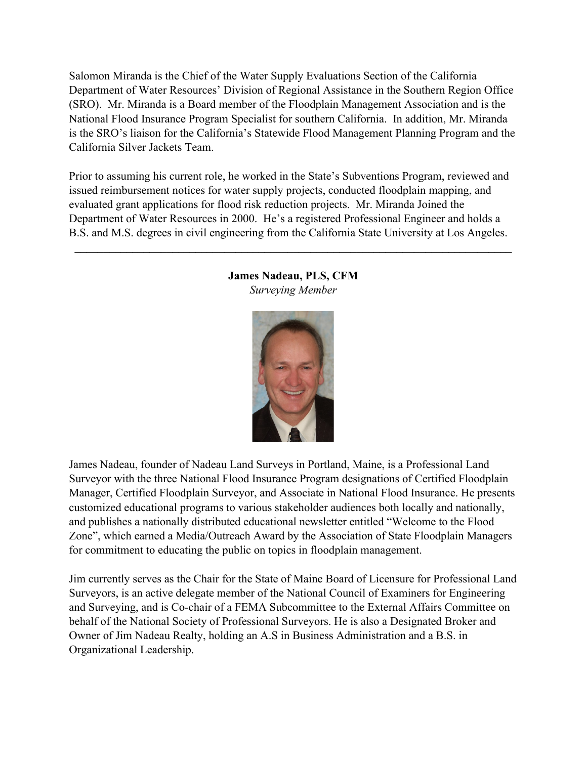Salomon Miranda is the Chief of the Water Supply Evaluations Section of the California Department of Water Resources' Division of Regional Assistance in the Southern Region Office (SRO). Mr. Miranda is a Board member of the Floodplain Management Association and is the National Flood Insurance Program Specialist for southern California. In addition, Mr. Miranda is the SRO's liaison for the California's Statewide Flood Management Planning Program and the California Silver Jackets Team.

Prior to assuming his current role, he worked in the State's Subventions Program, reviewed and issued reimbursement notices for water supply projects, conducted floodplain mapping, and evaluated grant applications for flood risk reduction projects. Mr. Miranda Joined the Department of Water Resources in 2000. He's a registered Professional Engineer and holds a B.S. and M.S. degrees in civil engineering from the California State University at Los Angeles.



#### **James Nadeau, PLS, CFM**  *Surveying Member*

**\_\_\_\_\_\_\_\_\_\_\_\_\_\_\_\_\_\_\_\_\_\_\_\_\_\_\_\_\_\_\_\_\_\_\_\_\_\_\_\_\_\_\_\_\_\_\_\_\_\_\_\_\_\_\_\_\_\_\_\_\_\_\_\_\_\_\_\_\_\_\_\_\_\_\_\_** 

James Nadeau, founder of Nadeau Land Surveys in Portland, Maine, is a Professional Land Surveyor with the three National Flood Insurance Program designations of Certified Floodplain Manager, Certified Floodplain Surveyor, and Associate in National Flood Insurance. He presents customized educational programs to various stakeholder audiences both locally and nationally, and publishes a nationally distributed educational newsletter entitled "Welcome to the Flood Zone", which earned a Media/Outreach Award by the Association of State Floodplain Managers for commitment to educating the public on topics in floodplain management.

Jim currently serves as the Chair for the State of Maine Board of Licensure for Professional Land Surveyors, is an active delegate member of the National Council of Examiners for Engineering and Surveying, and is Co-chair of a FEMA Subcommittee to the External Affairs Committee on behalf of the National Society of Professional Surveyors. He is also a Designated Broker and Owner of Jim Nadeau Realty, holding an A.S in Business Administration and a B.S. in Organizational Leadership.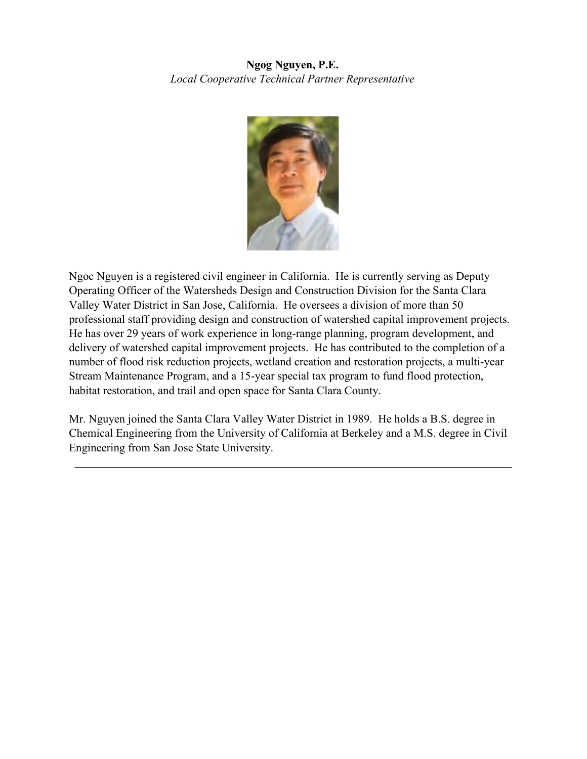# **Ngog Nguyen, P.E.**  *Local Cooperative Technical Partner Representative*



Ngoc Nguyen is a registered civil engineer in California. He is currently serving as Deputy Operating Officer of the Watersheds Design and Construction Division for the Santa Clara Valley Water District in San Jose, California. He oversees a division of more than 50 professional staff providing design and construction of watershed capital improvement projects. He has over 29 years of work experience in long-range planning, program development, and delivery of watershed capital improvement projects. He has contributed to the completion of a number of flood risk reduction projects, wetland creation and restoration projects, a multi-year Stream Maintenance Program, and a 15-year special tax program to fund flood protection, habitat restoration, and trail and open space for Santa Clara County.

Mr. Nguyen joined the Santa Clara Valley Water District in 1989. He holds a B.S. degree in Chemical Engineering from the University of California at Berkeley and a M.S. degree in Civil Engineering from San Jose State University.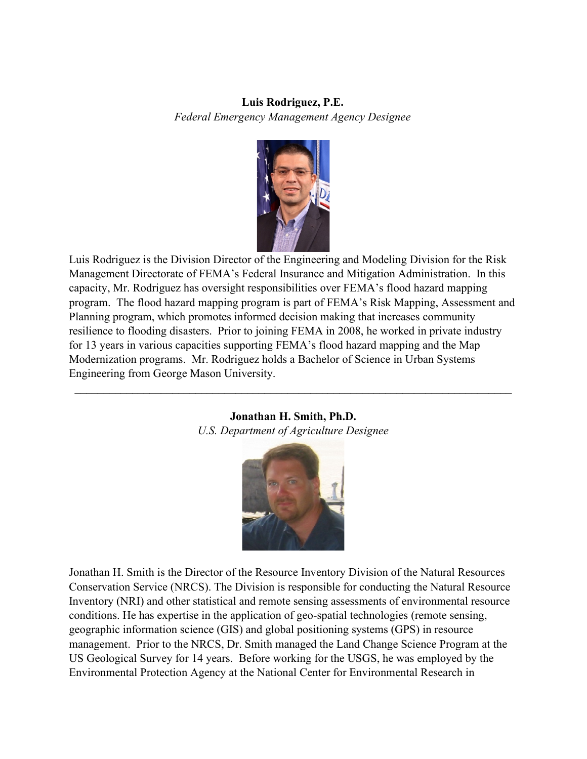**Luis Rodriguez, P.E.**  *Federal Emergency Management Agency Designee* 



Luis Rodriguez is the Division Director of the Engineering and Modeling Division for the Risk Management Directorate of FEMA's Federal Insurance and Mitigation Administration. In this capacity, Mr. Rodriguez has oversight responsibilities over FEMA's flood hazard mapping program. The flood hazard mapping program is part of FEMA's Risk Mapping, Assessment and Planning program, which promotes informed decision making that increases community resilience to flooding disasters. Prior to joining FEMA in 2008, he worked in private industry for 13 years in various capacities supporting FEMA's flood hazard mapping and the Map Modernization programs. Mr. Rodriguez holds a Bachelor of Science in Urban Systems Engineering from George Mason University.

#### **Jonathan H. Smith, Ph.D.**  *U.S. Department of Agriculture Designee*

**\_\_\_\_\_\_\_\_\_\_\_\_\_\_\_\_\_\_\_\_\_\_\_\_\_\_\_\_\_\_\_\_\_\_\_\_\_\_\_\_\_\_\_\_\_\_\_\_\_\_\_\_\_\_\_\_\_\_\_\_\_\_\_\_\_\_\_\_\_\_\_\_\_\_\_\_** 



Jonathan H. Smith is the Director of the Resource Inventory Division of the Natural Resources Conservation Service (NRCS). The Division is responsible for conducting the Natural Resource Inventory (NRI) and other statistical and remote sensing assessments of environmental resource conditions. He has expertise in the application of geo-spatial technologies (remote sensing, geographic information science (GIS) and global positioning systems (GPS) in resource management. Prior to the NRCS, Dr. Smith managed the Land Change Science Program at the US Geological Survey for 14 years. Before working for the USGS, he was employed by the Environmental Protection Agency at the National Center for Environmental Research in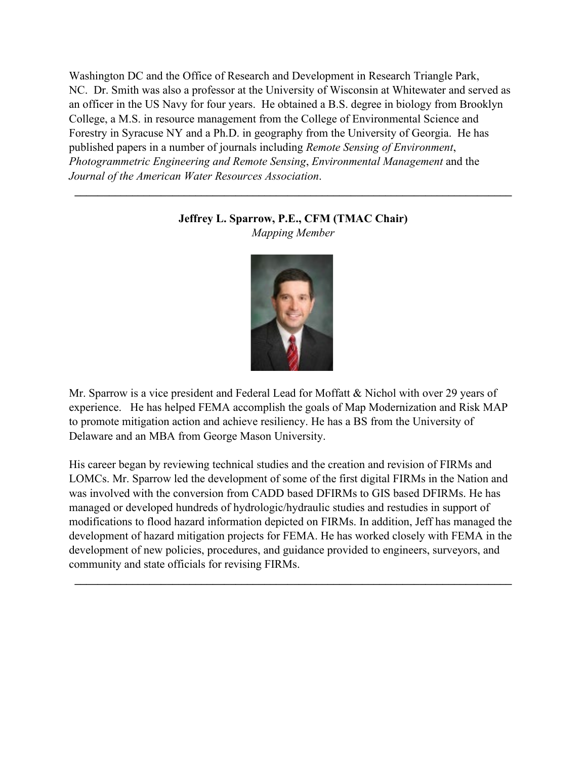Washington DC and the Office of Research and Development in Research Triangle Park, NC. Dr. Smith was also a professor at the University of Wisconsin at Whitewater and served as an officer in the US Navy for four years. He obtained a B.S. degree in biology from Brooklyn College, a M.S. in resource management from the College of Environmental Science and Forestry in Syracuse NY and a Ph.D. in geography from the University of Georgia. He has published papers in a number of journals including *Remote Sensing of Environment*, *Photogrammetric Engineering and Remote Sensing*, *Environmental Management* and the *Journal of the American Water Resources Association*.

## **Jeffrey L. Sparrow, P.E., CFM (TMAC Chair)** *Mapping Member*

**\_\_\_\_\_\_\_\_\_\_\_\_\_\_\_\_\_\_\_\_\_\_\_\_\_\_\_\_\_\_\_\_\_\_\_\_\_\_\_\_\_\_\_\_\_\_\_\_\_\_\_\_\_\_\_\_\_\_\_\_\_\_\_\_\_\_\_\_\_\_\_\_\_\_\_\_**



Mr. Sparrow is a vice president and Federal Lead for Moffatt & Nichol with over 29 years of experience. He has helped FEMA accomplish the goals of Map Modernization and Risk MAP to promote mitigation action and achieve resiliency. He has a BS from the University of Delaware and an MBA from George Mason University.

His career began by reviewing technical studies and the creation and revision of FIRMs and LOMCs. Mr. Sparrow led the development of some of the first digital FIRMs in the Nation and was involved with the conversion from CADD based DFIRMs to GIS based DFIRMs. He has managed or developed hundreds of hydrologic/hydraulic studies and restudies in support of modifications to flood hazard information depicted on FIRMs. In addition, Jeff has managed the development of hazard mitigation projects for FEMA. He has worked closely with FEMA in the development of new policies, procedures, and guidance provided to engineers, surveyors, and community and state officials for revising FIRMs.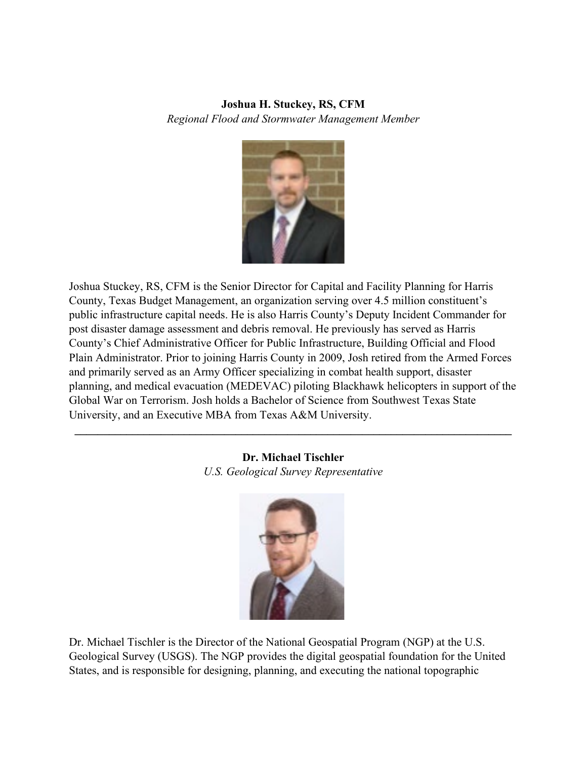## **Joshua H. Stuckey, RS, CFM** *Regional Flood and Stormwater Management Member*



Joshua Stuckey, RS, CFM is the Senior Director for Capital and Facility Planning for Harris County, Texas Budget Management, an organization serving over 4.5 million constituent's public infrastructure capital needs. He is also Harris County's Deputy Incident Commander for post disaster damage assessment and debris removal. He previously has served as Harris County's Chief Administrative Officer for Public Infrastructure, Building Official and Flood Plain Administrator. Prior to joining Harris County in 2009, Josh retired from the Armed Forces and primarily served as an Army Officer specializing in combat health support, disaster planning, and medical evacuation (MEDEVAC) piloting Blackhawk helicopters in support of the Global War on Terrorism. Josh holds a Bachelor of Science from Southwest Texas State University, and an Executive MBA from Texas A&M University.

> **Dr. Michael Tischler** *U.S. Geological Survey Representative*

**\_\_\_\_\_\_\_\_\_\_\_\_\_\_\_\_\_\_\_\_\_\_\_\_\_\_\_\_\_\_\_\_\_\_\_\_\_\_\_\_\_\_\_\_\_\_\_\_\_\_\_\_\_\_\_\_\_\_\_\_\_\_\_\_\_\_\_\_\_\_\_\_\_\_\_\_**



Dr. Michael Tischler is the Director of the National Geospatial Program (NGP) at the U.S. Geological Survey (USGS). The NGP provides the digital geospatial foundation for the United States, and is responsible for designing, planning, and executing the national topographic